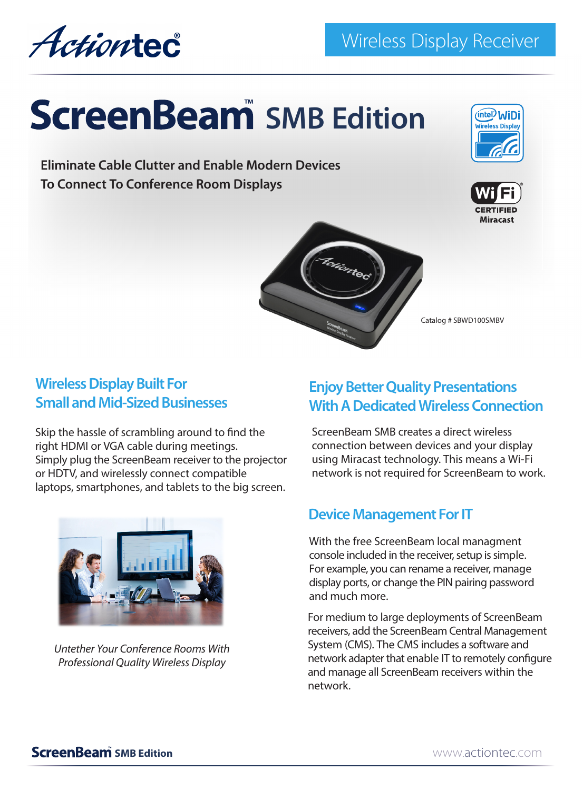Actiontec

# **ScreenBeam** SMB Edition

**Eliminate Cable Clutter and Enable Modern Devices To Connect To Conference Room Displays**







Catalog # SBWD100SMBV

## **Wireless Display Built For Small and Mid-Sized Businesses**

Skip the hassle of scrambling around to find the right HDMI or VGA cable during meetings. Simply plug the ScreenBeam receiver to the projector or HDTV, and wirelessly connect compatible laptops, smartphones, and tablets to the big screen.



*Untether Your Conference Rooms With Professional Quality Wireless Display* 

## **Enjoy Better Quality Presentations With A Dedicated Wireless Connection**

ScreenBeam SMB creates a direct wireless connection between devices and your display using Miracast technology. This means a Wi-Fi network is not required for ScreenBeam to work.

## **Device Management For IT**

With the free ScreenBeam local managment console included in the receiver, setup is simple. For example, you can rename a receiver, manage display ports, or change the PIN pairing password and much more.

For medium to large deployments of ScreenBeam receivers, add the ScreenBeam Central Management System (CMS). The CMS includes a software and network adapter that enable IT to remotely configure and manage all ScreenBeam receivers within the network.